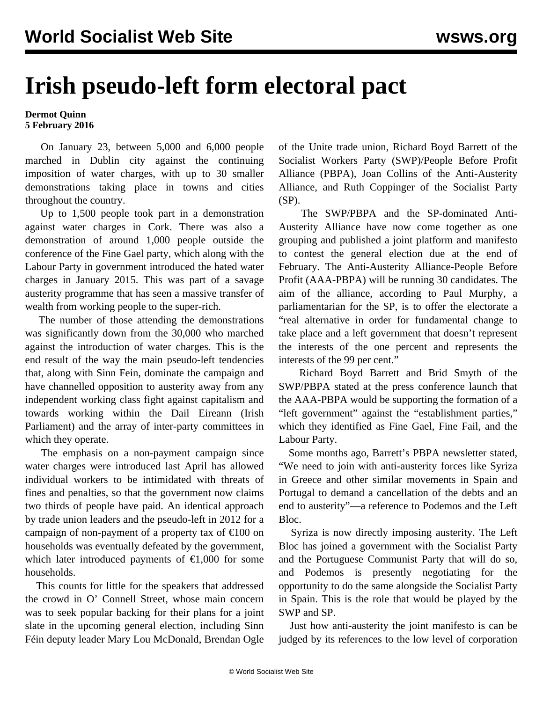## **Irish pseudo-left form electoral pact**

## **Dermot Quinn 5 February 2016**

 On January 23, between 5,000 and 6,000 people marched in Dublin city against the continuing imposition of water charges, with up to 30 smaller demonstrations taking place in towns and cities throughout the country.

 Up to 1,500 people took part in a demonstration against water charges in Cork. There was also a demonstration of around 1,000 people outside the conference of the Fine Gael party, which along with the Labour Party in government introduced the hated water charges in January 2015. This was part of a savage austerity programme that has seen a massive transfer of wealth from working people to the super-rich.

 The number of those attending the demonstrations was significantly down from the 30,000 who marched against the introduction of water charges. This is the end result of the way the main pseudo-left tendencies that, along with Sinn Fein, dominate the campaign and have channelled opposition to austerity away from any independent working class fight against capitalism and towards working within the Dail Eireann (Irish Parliament) and the array of inter-party committees in which they operate.

 The emphasis on a non-payment campaign since water charges were introduced last April has allowed individual workers to be intimidated with threats of fines and penalties, so that the government now claims two thirds of people have paid. An identical approach by trade union leaders and the pseudo-left in 2012 for a campaign of non-payment of a property tax of  $\epsilon$ 100 on households was eventually defeated by the government, which later introduced payments of  $\epsilon 1,000$  for some households.

 This counts for little for the speakers that addressed the crowd in O' Connell Street, whose main concern was to seek popular backing for their plans for a joint slate in the upcoming general election, including Sinn Féin deputy leader Mary Lou McDonald, Brendan Ogle

of the Unite trade union, Richard Boyd Barrett of the Socialist Workers Party (SWP)/People Before Profit Alliance (PBPA), Joan Collins of the Anti-Austerity Alliance, and Ruth Coppinger of the Socialist Party (SP).

 The SWP/PBPA and the SP-dominated Anti-Austerity Alliance have now come together as one grouping and published a joint platform and manifesto to contest the general election due at the end of February. The Anti-Austerity Alliance-People Before Profit (AAA-PBPA) will be running 30 candidates. The aim of the alliance, according to Paul Murphy, a parliamentarian for the SP, is to offer the electorate a "real alternative in order for fundamental change to take place and a left government that doesn't represent the interests of the one percent and represents the interests of the 99 per cent."

 Richard Boyd Barrett and Brid Smyth of the SWP/PBPA stated at the press conference launch that the AAA-PBPA would be supporting the formation of a "left government" against the "establishment parties," which they identified as Fine Gael, Fine Fail, and the Labour Party.

 Some months ago, Barrett's PBPA newsletter stated, "We need to join with anti-austerity forces like Syriza in Greece and other similar movements in Spain and Portugal to demand a cancellation of the debts and an end to austerity"—a reference to Podemos and the Left Bloc.

 Syriza is now directly imposing austerity. The Left Bloc has joined a government with the Socialist Party and the Portuguese Communist Party that will do so, and Podemos is presently negotiating for the opportunity to do the same alongside the Socialist Party in Spain. This is the role that would be played by the SWP and SP.

 Just how anti-austerity the joint manifesto is can be judged by its references to the low level of corporation